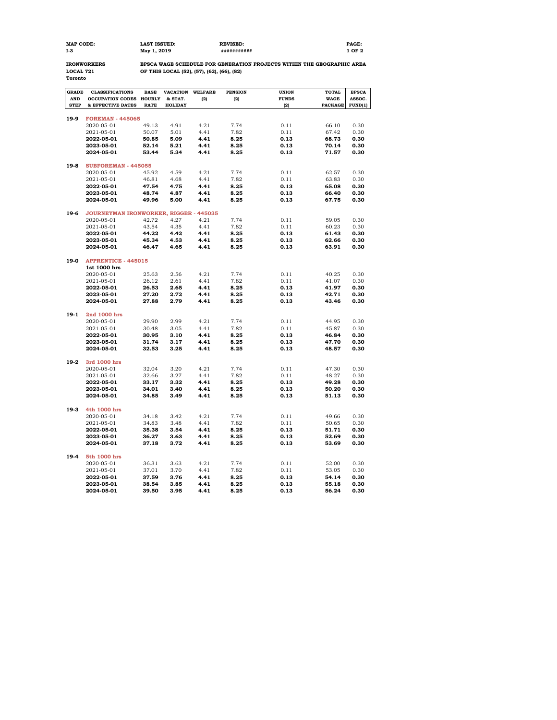| <b>MAP CODE:</b> | <b>LAST ISSUED:</b> | <b>REVISED:</b> | PAGE: |
|------------------|---------------------|-----------------|-------|
| I-3              | May 1, 2019         | ************    | OF 2  |

**Toronto**

**IRONWORKERS EPSCA WAGE SCHEDULE FOR GENERATION PROJECTS WITHIN THE GEOGRAPHIC AREA LOCAL 721 OF THIS LOCAL (52), (57), (62), (66), (82)**

| <b>GRADE</b> | <b>CLASSIFICATIONS</b>                 | <b>BASE</b>   | <b>VACATION</b> | <b>WELFARE</b> | <b>PENSION</b> | <b>UNION</b> | <b>TOTAL</b>   | <b>EPSCA</b> |  |  |
|--------------|----------------------------------------|---------------|-----------------|----------------|----------------|--------------|----------------|--------------|--|--|
| <b>AND</b>   | <b>OCCUPATION CODES</b>                | <b>HOURLY</b> | & STAT.         | (2)            | (2)            | <b>FUNDS</b> | <b>WAGE</b>    | ASSOC.       |  |  |
| <b>STEP</b>  | & EFFECTIVE DATES                      | <b>RATE</b>   | <b>HOLIDAY</b>  |                |                | (2)          | <b>PACKAGE</b> | FUND(1)      |  |  |
|              |                                        |               |                 |                |                |              |                |              |  |  |
| 19-9         | <b>FOREMAN - 445065</b>                |               |                 |                |                |              |                |              |  |  |
|              | 2020-05-01                             | 49.13         | 4.91            | 4.21           | 7.74           | 0.11         | 66.10          | 0.30         |  |  |
|              | 2021-05-01                             | 50.07         | 5.01            | 4.41           | 7.82           | 0.11         | 67.42          | 0.30         |  |  |
|              | 2022-05-01                             | 50.85         | 5.09            | 4.41           | 8.25           | 0.13         | 68.73          | 0.30         |  |  |
|              | 2023-05-01                             | 52.14         | 5.21            | 4.41           | 8.25           | 0.13         | 70.14          | 0.30         |  |  |
|              | 2024-05-01                             | 53.44         | 5.34            | 4.41           | 8.25           | 0.13         | 71.57          | 0.30         |  |  |
| $19-8$       | SUBFOREMAN - 445055                    |               |                 |                |                |              |                |              |  |  |
|              | 2020-05-01                             | 45.92         | 4.59            | 4.21           | 7.74           | 0.11         | 62.57          | 0.30         |  |  |
|              | 2021-05-01                             | 46.81         | 4.68            | 4.41           | 7.82           | 0.11         | 63.83          | 0.30         |  |  |
|              | 2022-05-01                             | 47.54         | 4.75            | 4.41           | 8.25           | 0.13         | 65.08          | 0.30         |  |  |
|              | 2023-05-01                             | 48.74         | 4.87            | 4.41           | 8.25           | 0.13         | 66.40          | 0.30         |  |  |
|              | 2024-05-01                             | 49.96         | 5.00            | 4.41           | 8.25           | 0.13         | 67.75          | 0.30         |  |  |
|              |                                        |               |                 |                |                |              |                |              |  |  |
| 19-6         | JOURNEYMAN IRONWORKER, RIGGER - 445035 |               |                 |                |                |              |                |              |  |  |
|              | 2020-05-01                             | 42.72         | 4.27            | 4.21           | 7.74           | 0.11         | 59.05          | 0.30         |  |  |
|              | 2021-05-01                             | 43.54         | 4.35            | 4.41           | 7.82           | 0.11         | 60.23          | 0.30         |  |  |
|              | 2022-05-01                             | 44.22         | 4.42            | 4.41           | 8.25           | 0.13         | 61.43          | 0.30         |  |  |
|              | 2023-05-01                             | 45.34         | 4.53            | 4.41           | 8.25           | 0.13         | 62.66          | 0.30         |  |  |
|              | 2024-05-01                             | 46.47         | 4.65            | 4.41           | 8.25           | 0.13         | 63.91          | 0.30         |  |  |
|              |                                        |               |                 |                |                |              |                |              |  |  |
| 19-0         | <b>APPRENTICE - 445015</b>             |               |                 |                |                |              |                |              |  |  |
|              | 1st 1000 hrs                           |               |                 |                |                |              |                |              |  |  |
|              | 2020-05-01                             | 25.63         | 2.56            | 4.21           | 7.74           | 0.11         | 40.25          | 0.30         |  |  |
|              | 2021-05-01                             | 26.12         | 2.61            | 4.41           | 7.82           | 0.11         | 41.07          | 0.30         |  |  |
|              | 2022-05-01                             | 26.53         | 2.65            | 4.41           | 8.25           | 0.13         | 41.97          | 0.30         |  |  |
|              | 2023-05-01                             | 27.20         | 2.72            | 4.41           | 8.25           | 0.13         | 42.71          | 0.30         |  |  |
|              | 2024-05-01                             | 27.88         | 2.79            | 4.41           | 8.25           | 0.13         | 43.46          | 0.30         |  |  |
| $19-1$       | 2nd 1000 hrs                           |               |                 |                |                |              |                |              |  |  |
|              | 2020-05-01                             | 29.90         | 2.99            | 4.21           | 7.74           | 0.11         | 44.95          | 0.30         |  |  |
|              | 2021-05-01                             | 30.48         | 3.05            | 4.41           | 7.82           | 0.11         | 45.87          | 0.30         |  |  |
|              | 2022-05-01                             | 30.95         | 3.10            | 4.41           | 8.25           | 0.13         | 46.84          | 0.30         |  |  |
|              | 2023-05-01                             | 31.74         | 3.17            | 4.41           | 8.25           | 0.13         | 47.70          | 0.30         |  |  |
|              | 2024-05-01                             | 32.53         | 3.25            | 4.41           | 8.25           | 0.13         | 48.57          | 0.30         |  |  |
|              |                                        |               |                 |                |                |              |                |              |  |  |
| $19-2$       | 3rd 1000 hrs                           |               |                 |                |                |              |                |              |  |  |
|              | 2020-05-01                             | 32.04         | 3.20            | 4.21           | 7.74           | 0.11         | 47.30          | 0.30         |  |  |
|              | 2021-05-01                             | 32.66         | 3.27            | 4.41           | 7.82           | 0.11         | 48.27          | 0.30         |  |  |
|              | 2022-05-01                             | 33.17         | 3.32            | 4.41           | 8.25           | 0.13         | 49.28          | 0.30         |  |  |
|              | 2023-05-01                             | 34.01         | 3.40            | 4.41           | 8.25           | 0.13         | 50.20          | 0.30         |  |  |
|              | 2024-05-01                             | 34.85         | 3.49            | 4.41           | 8.25           | 0.13         | 51.13          | 0.30         |  |  |
| $19-3$       | 4th 1000 hrs                           |               |                 |                |                |              |                |              |  |  |
|              | 2020-05-01                             | 34.18         | 3.42            | 4.21           | 7.74           | 0.11         | 49.66          | 0.30         |  |  |
|              | 2021-05-01                             | 34.83         | 3.48            | 4.41           | 7.82           | 0.11         | 50.65          | 0.30         |  |  |
|              | 2022-05-01                             | 35.38         | 3.54            | 4.41           | 8.25           | 0.13         | 51.71          | 0.30         |  |  |
|              | 2023-05-01                             | 36.27         | 3.63            | 4.41           | 8.25           | 0.13         | 52.69          | 0.30         |  |  |
|              | 2024-05-01                             | 37.18         | 3.72            | 4.41           | 8.25           | 0.13         | 53.69          | 0.30         |  |  |
|              |                                        |               |                 |                |                |              |                |              |  |  |
| $19-4$       | 5th 1000 hrs                           |               |                 |                |                |              |                |              |  |  |
|              | 2020-05-01                             | 36.31         | 3.63            | 4.21           | 7.74           | 0.11         | 52.00          | 0.30         |  |  |
|              | 2021-05-01                             | 37.01         | 3.70            | 4.41           | 7.82           | 0.11         | 53.05          | 0.30         |  |  |
|              | 2022-05-01                             | 37.59         | 3.76            | 4.41           | 8.25           | 0.13         | 54.14          | 0.30         |  |  |
|              | 2023-05-01                             | 38.54         | 3.85            | 4.41           | 8.25           | 0.13         | 55.18          | 0.30         |  |  |
|              | 2024-05-01                             | 39.50         | 3.95            | 4.41           | 8.25           | 0.13         | 56.24          | 0.30         |  |  |